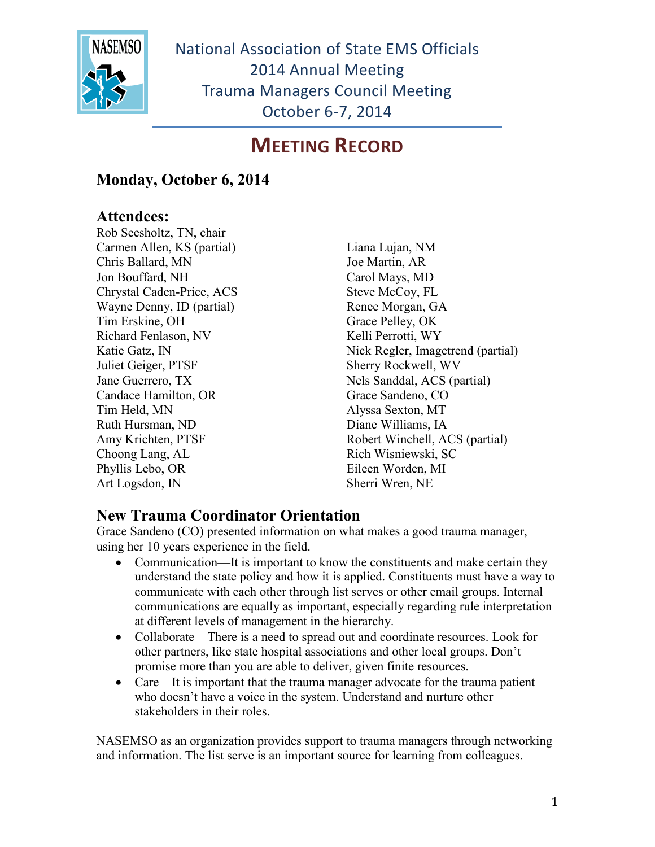

### **MEETING RECORD**

#### **Monday, October 6, 2014**

#### **Attendees:**

Rob Seesholtz, TN, chair Carmen Allen, KS (partial) Chris Ballard, MN Jon Bouffard, NH Chrystal Caden-Price, ACS Wayne Denny, ID (partial) Tim Erskine, OH Richard Fenlason, NV Katie Gatz, IN Juliet Geiger, PTSF Jane Guerrero, TX Candace Hamilton, OR Tim Held, MN Ruth Hursman, ND Amy Krichten, PTSF Choong Lang, AL Phyllis Lebo, OR Art Logsdon, IN

Liana Lujan, NM Joe Martin, AR Carol Mays, MD Steve McCoy, FL Renee Morgan, GA Grace Pelley, OK Kelli Perrotti, WY Nick Regler, Imagetrend (partial) Sherry Rockwell, WV Nels Sanddal, ACS (partial) Grace Sandeno, CO Alyssa Sexton, MT Diane Williams, IA Robert Winchell, ACS (partial) Rich Wisniewski, SC Eileen Worden, MI Sherri Wren, NE

#### **New Trauma Coordinator Orientation**

Grace Sandeno (CO) presented information on what makes a good trauma manager, using her 10 years experience in the field.

- Communication—It is important to know the constituents and make certain they understand the state policy and how it is applied. Constituents must have a way to communicate with each other through list serves or other email groups. Internal communications are equally as important, especially regarding rule interpretation at different levels of management in the hierarchy.
- Collaborate—There is a need to spread out and coordinate resources. Look for other partners, like state hospital associations and other local groups. Don't promise more than you are able to deliver, given finite resources.
- Care—It is important that the trauma manager advocate for the trauma patient who doesn't have a voice in the system. Understand and nurture other stakeholders in their roles.

NASEMSO as an organization provides support to trauma managers through networking and information. The list serve is an important source for learning from colleagues.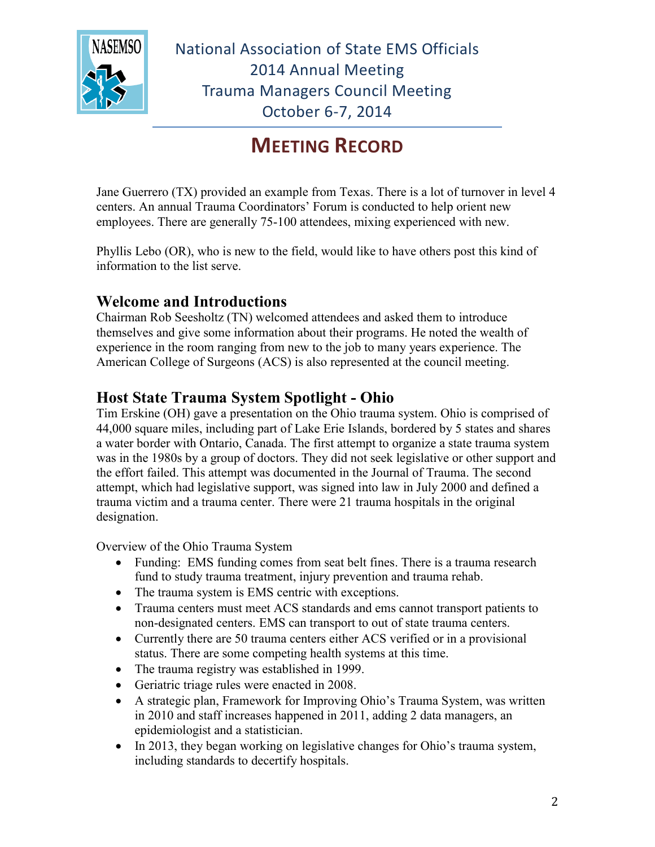

## **MEETING RECORD**

Jane Guerrero (TX) provided an example from Texas. There is a lot of turnover in level 4 centers. An annual Trauma Coordinators' Forum is conducted to help orient new employees. There are generally 75-100 attendees, mixing experienced with new.

Phyllis Lebo (OR), who is new to the field, would like to have others post this kind of information to the list serve.

#### **Welcome and Introductions**

Chairman Rob Seesholtz (TN) welcomed attendees and asked them to introduce themselves and give some information about their programs. He noted the wealth of experience in the room ranging from new to the job to many years experience. The American College of Surgeons (ACS) is also represented at the council meeting.

#### **Host State Trauma System Spotlight - Ohio**

Tim Erskine (OH) gave a presentation on the Ohio trauma system. Ohio is comprised of 44,000 square miles, including part of Lake Erie Islands, bordered by 5 states and shares a water border with Ontario, Canada. The first attempt to organize a state trauma system was in the 1980s by a group of doctors. They did not seek legislative or other support and the effort failed. This attempt was documented in the Journal of Trauma. The second attempt, which had legislative support, was signed into law in July 2000 and defined a trauma victim and a trauma center. There were 21 trauma hospitals in the original designation.

Overview of the Ohio Trauma System

- Funding: EMS funding comes from seat belt fines. There is a trauma research fund to study trauma treatment, injury prevention and trauma rehab.
- The trauma system is EMS centric with exceptions.
- Trauma centers must meet ACS standards and ems cannot transport patients to non-designated centers. EMS can transport to out of state trauma centers.
- Currently there are 50 trauma centers either ACS verified or in a provisional status. There are some competing health systems at this time.
- The trauma registry was established in 1999.
- Geriatric triage rules were enacted in 2008.
- A strategic plan, Framework for Improving Ohio's Trauma System, was written in 2010 and staff increases happened in 2011, adding 2 data managers, an epidemiologist and a statistician.
- In 2013, they began working on legislative changes for Ohio's trauma system, including standards to decertify hospitals.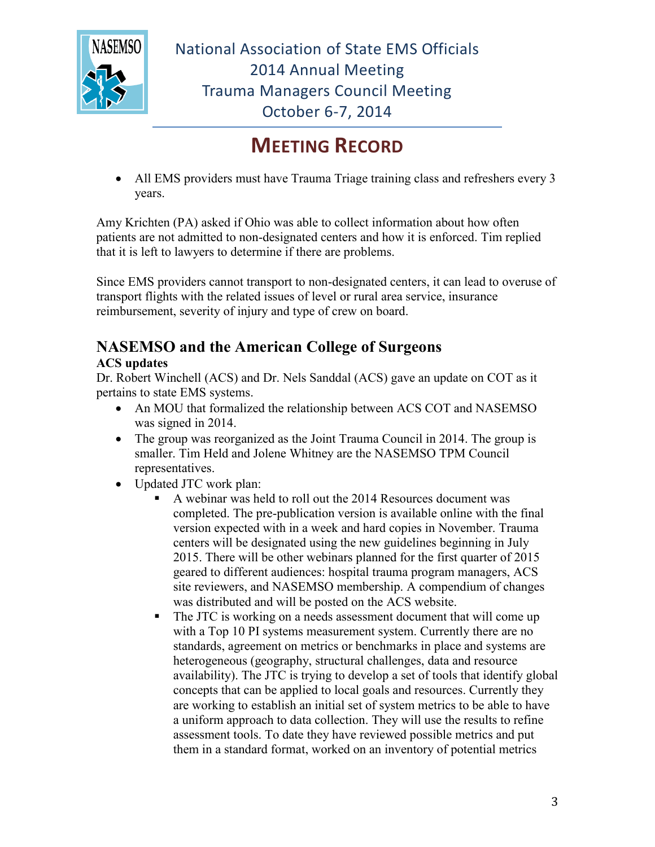

## **MEETING RECORD**

• All EMS providers must have Trauma Triage training class and refreshers every 3 years.

Amy Krichten (PA) asked if Ohio was able to collect information about how often patients are not admitted to non-designated centers and how it is enforced. Tim replied that it is left to lawyers to determine if there are problems.

Since EMS providers cannot transport to non-designated centers, it can lead to overuse of transport flights with the related issues of level or rural area service, insurance reimbursement, severity of injury and type of crew on board.

## **NASEMSO and the American College of Surgeons**

#### **ACS updates**

Dr. Robert Winchell (ACS) and Dr. Nels Sanddal (ACS) gave an update on COT as it pertains to state EMS systems.

- An MOU that formalized the relationship between ACS COT and NASEMSO was signed in 2014.
- The group was reorganized as the Joint Trauma Council in 2014. The group is smaller. Tim Held and Jolene Whitney are the NASEMSO TPM Council representatives.
- Updated JTC work plan:
	- A webinar was held to roll out the 2014 Resources document was completed. The pre-publication version is available online with the final version expected with in a week and hard copies in November. Trauma centers will be designated using the new guidelines beginning in July 2015. There will be other webinars planned for the first quarter of 2015 geared to different audiences: hospital trauma program managers, ACS site reviewers, and NASEMSO membership. A compendium of changes was distributed and will be posted on the ACS website.
	- The JTC is working on a needs assessment document that will come up with a Top 10 PI systems measurement system. Currently there are no standards, agreement on metrics or benchmarks in place and systems are heterogeneous (geography, structural challenges, data and resource availability). The JTC is trying to develop a set of tools that identify global concepts that can be applied to local goals and resources. Currently they are working to establish an initial set of system metrics to be able to have a uniform approach to data collection. They will use the results to refine assessment tools. To date they have reviewed possible metrics and put them in a standard format, worked on an inventory of potential metrics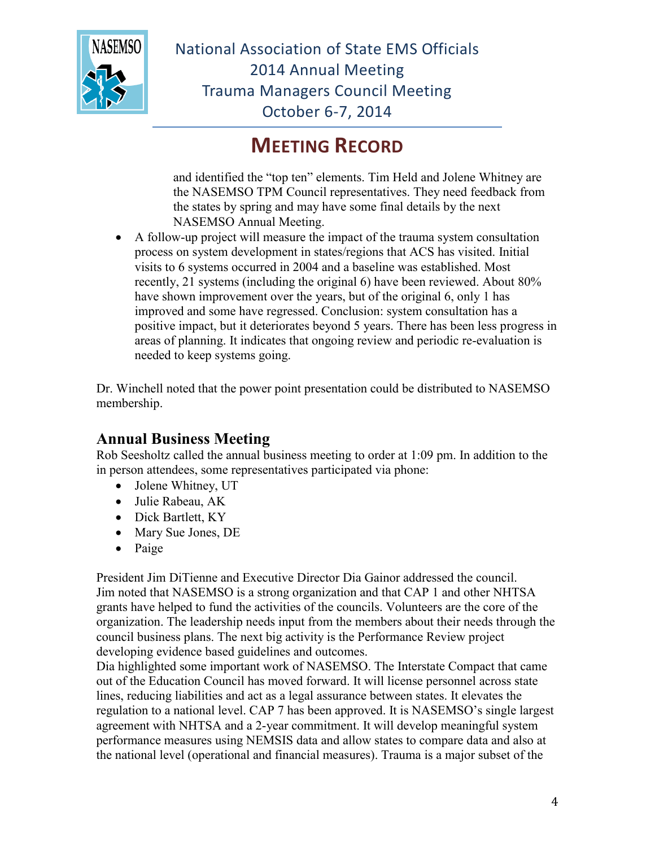

## **MEETING RECORD**

and identified the "top ten" elements. Tim Held and Jolene Whitney are the NASEMSO TPM Council representatives. They need feedback from the states by spring and may have some final details by the next NASEMSO Annual Meeting.

 A follow-up project will measure the impact of the trauma system consultation process on system development in states/regions that ACS has visited. Initial visits to 6 systems occurred in 2004 and a baseline was established. Most recently, 21 systems (including the original 6) have been reviewed. About 80% have shown improvement over the years, but of the original 6, only 1 has improved and some have regressed. Conclusion: system consultation has a positive impact, but it deteriorates beyond 5 years. There has been less progress in areas of planning. It indicates that ongoing review and periodic re-evaluation is needed to keep systems going.

Dr. Winchell noted that the power point presentation could be distributed to NASEMSO membership.

#### **Annual Business Meeting**

Rob Seesholtz called the annual business meeting to order at 1:09 pm. In addition to the in person attendees, some representatives participated via phone:

- Jolene Whitney, UT
- Julie Rabeau, AK
- Dick Bartlett, KY
- Mary Sue Jones, DE
- $\bullet$  Paige

President Jim DiTienne and Executive Director Dia Gainor addressed the council. Jim noted that NASEMSO is a strong organization and that CAP 1 and other NHTSA grants have helped to fund the activities of the councils. Volunteers are the core of the organization. The leadership needs input from the members about their needs through the council business plans. The next big activity is the Performance Review project developing evidence based guidelines and outcomes.

Dia highlighted some important work of NASEMSO. The Interstate Compact that came out of the Education Council has moved forward. It will license personnel across state lines, reducing liabilities and act as a legal assurance between states. It elevates the regulation to a national level. CAP 7 has been approved. It is NASEMSO's single largest agreement with NHTSA and a 2-year commitment. It will develop meaningful system performance measures using NEMSIS data and allow states to compare data and also at the national level (operational and financial measures). Trauma is a major subset of the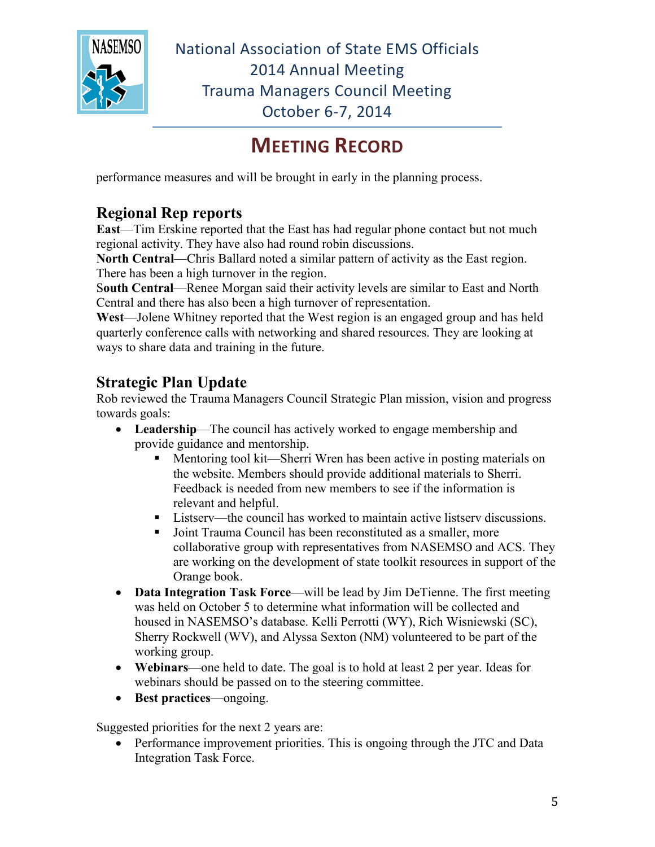

## **MEETING RECORD**

performance measures and will be brought in early in the planning process.

### **Regional Rep reports**

**East**—Tim Erskine reported that the East has had regular phone contact but not much regional activity. They have also had round robin discussions.

**North Central**—Chris Ballard noted a similar pattern of activity as the East region. There has been a high turnover in the region.

S**outh Central**—Renee Morgan said their activity levels are similar to East and North Central and there has also been a high turnover of representation.

**West**—Jolene Whitney reported that the West region is an engaged group and has held quarterly conference calls with networking and shared resources. They are looking at ways to share data and training in the future.

### **Strategic Plan Update**

Rob reviewed the Trauma Managers Council Strategic Plan mission, vision and progress towards goals:

- **Leadership**—The council has actively worked to engage membership and provide guidance and mentorship.
	- Mentoring tool kit—Sherri Wren has been active in posting materials on the website. Members should provide additional materials to Sherri. Feedback is needed from new members to see if the information is relevant and helpful.
	- Listserv—the council has worked to maintain active listserv discussions.
	- Joint Trauma Council has been reconstituted as a smaller, more collaborative group with representatives from NASEMSO and ACS. They are working on the development of state toolkit resources in support of the Orange book.
- **Data Integration Task Force—will be lead by Jim DeTienne. The first meeting** was held on October 5 to determine what information will be collected and housed in NASEMSO's database. Kelli Perrotti (WY), Rich Wisniewski (SC), Sherry Rockwell (WV), and Alyssa Sexton (NM) volunteered to be part of the working group.
- **Webinars**—one held to date. The goal is to hold at least 2 per year. Ideas for webinars should be passed on to the steering committee.
- **Best practices**—ongoing.

Suggested priorities for the next 2 years are:

 Performance improvement priorities. This is ongoing through the JTC and Data Integration Task Force.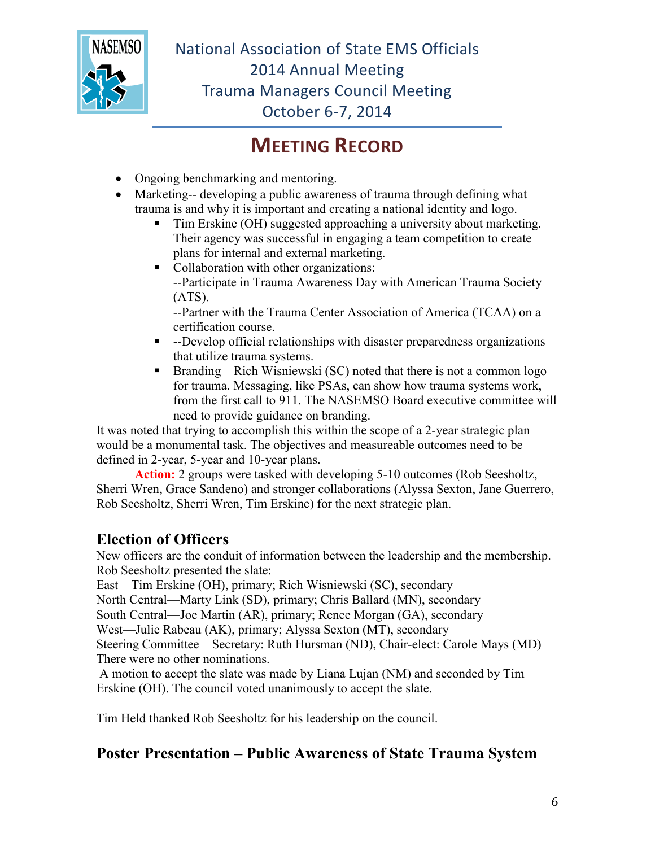

## **MEETING RECORD**

- Ongoing benchmarking and mentoring.
- Marketing-- developing a public awareness of trauma through defining what trauma is and why it is important and creating a national identity and logo.
	- Tim Erskine (OH) suggested approaching a university about marketing. Their agency was successful in engaging a team competition to create plans for internal and external marketing.
	- Collaboration with other organizations: --Participate in Trauma Awareness Day with American Trauma Society (ATS).

--Partner with the Trauma Center Association of America (TCAA) on a certification course.

- --Develop official relationships with disaster preparedness organizations that utilize trauma systems.
- Branding—Rich Wisniewski (SC) noted that there is not a common logo for trauma. Messaging, like PSAs, can show how trauma systems work, from the first call to 911. The NASEMSO Board executive committee will need to provide guidance on branding.

It was noted that trying to accomplish this within the scope of a 2-year strategic plan would be a monumental task. The objectives and measureable outcomes need to be defined in 2-year, 5-year and 10-year plans.

**Action:** 2 groups were tasked with developing 5-10 outcomes (Rob Seesholtz, Sherri Wren, Grace Sandeno) and stronger collaborations (Alyssa Sexton, Jane Guerrero, Rob Seesholtz, Sherri Wren, Tim Erskine) for the next strategic plan.

### **Election of Officers**

New officers are the conduit of information between the leadership and the membership. Rob Seesholtz presented the slate:

East—Tim Erskine (OH), primary; Rich Wisniewski (SC), secondary

North Central—Marty Link (SD), primary; Chris Ballard (MN), secondary

South Central—Joe Martin (AR), primary; Renee Morgan (GA), secondary

West—Julie Rabeau (AK), primary; Alyssa Sexton (MT), secondary

Steering Committee—Secretary: Ruth Hursman (ND), Chair-elect: Carole Mays (MD) There were no other nominations.

A motion to accept the slate was made by Liana Lujan (NM) and seconded by Tim Erskine (OH). The council voted unanimously to accept the slate.

Tim Held thanked Rob Seesholtz for his leadership on the council.

### **Poster Presentation – Public Awareness of State Trauma System**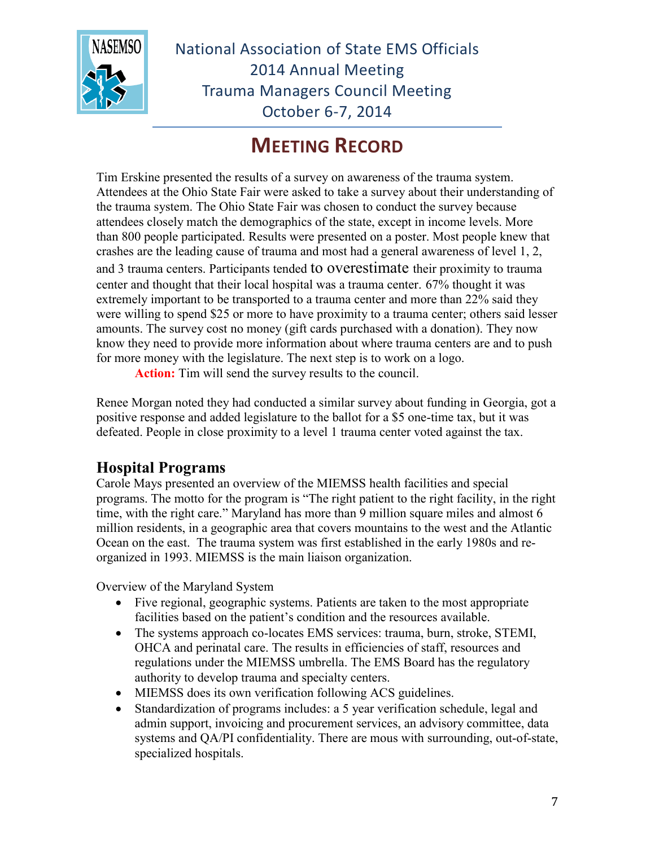

## **MEETING RECORD**

Tim Erskine presented the results of a survey on awareness of the trauma system. Attendees at the Ohio State Fair were asked to take a survey about their understanding of the trauma system. The Ohio State Fair was chosen to conduct the survey because attendees closely match the demographics of the state, except in income levels. More than 800 people participated. Results were presented on a poster. Most people knew that crashes are the leading cause of trauma and most had a general awareness of level 1, 2,

and 3 trauma centers. Participants tended to overestimate their proximity to trauma center and thought that their local hospital was a trauma center. 67% thought it was extremely important to be transported to a trauma center and more than 22% said they were willing to spend \$25 or more to have proximity to a trauma center; others said lesser amounts. The survey cost no money (gift cards purchased with a donation). They now know they need to provide more information about where trauma centers are and to push for more money with the legislature. The next step is to work on a logo.

**Action:** Tim will send the survey results to the council.

Renee Morgan noted they had conducted a similar survey about funding in Georgia, got a positive response and added legislature to the ballot for a \$5 one-time tax, but it was defeated. People in close proximity to a level 1 trauma center voted against the tax.

#### **Hospital Programs**

Carole Mays presented an overview of the MIEMSS health facilities and special programs. The motto for the program is "The right patient to the right facility, in the right time, with the right care." Maryland has more than 9 million square miles and almost 6 million residents, in a geographic area that covers mountains to the west and the Atlantic Ocean on the east. The trauma system was first established in the early 1980s and reorganized in 1993. MIEMSS is the main liaison organization.

Overview of the Maryland System

- Five regional, geographic systems. Patients are taken to the most appropriate facilities based on the patient's condition and the resources available.
- The systems approach co-locates EMS services: trauma, burn, stroke, STEMI, OHCA and perinatal care. The results in efficiencies of staff, resources and regulations under the MIEMSS umbrella. The EMS Board has the regulatory authority to develop trauma and specialty centers.
- MIEMSS does its own verification following ACS guidelines.
- Standardization of programs includes: a 5 year verification schedule, legal and admin support, invoicing and procurement services, an advisory committee, data systems and QA/PI confidentiality. There are mous with surrounding, out-of-state, specialized hospitals.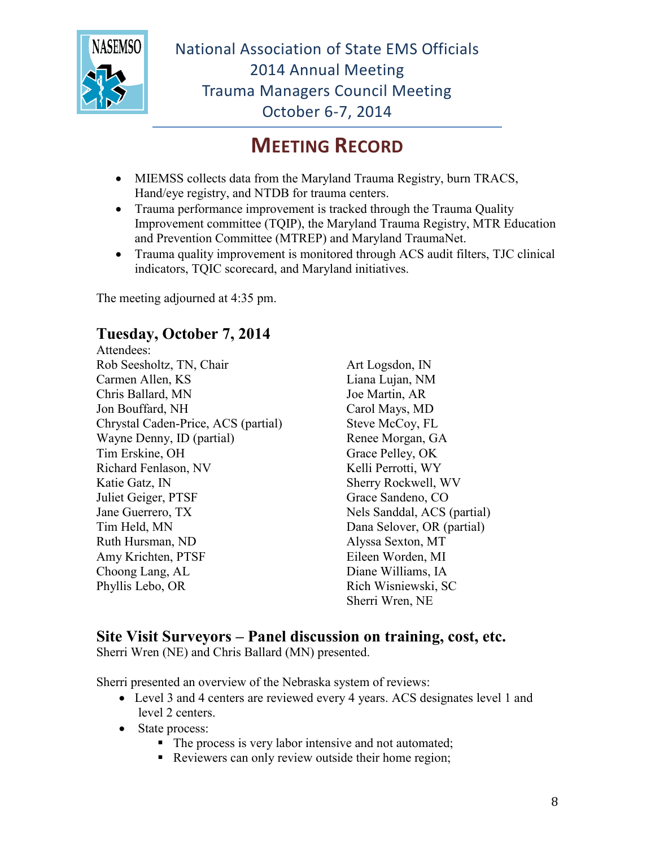

## **MEETING RECORD**

- MIEMSS collects data from the Maryland Trauma Registry, burn TRACS, Hand/eye registry, and NTDB for trauma centers.
- Trauma performance improvement is tracked through the Trauma Quality Improvement committee (TQIP), the Maryland Trauma Registry, MTR Education and Prevention Committee (MTREP) and Maryland TraumaNet.
- Trauma quality improvement is monitored through ACS audit filters, TJC clinical indicators, TQIC scorecard, and Maryland initiatives.

The meeting adjourned at 4:35 pm.

#### **Tuesday, October 7, 2014**

Attendees: Rob Seesholtz, TN, Chair Carmen Allen, KS Chris Ballard, MN Jon Bouffard, NH Chrystal Caden-Price, ACS (partial) Wayne Denny, ID (partial) Tim Erskine, OH Richard Fenlason, NV Katie Gatz, IN Juliet Geiger, PTSF Jane Guerrero, TX Tim Held, MN Ruth Hursman, ND Amy Krichten, PTSF Choong Lang, AL Phyllis Lebo, OR

Art Logsdon, IN Liana Lujan, NM Joe Martin, AR Carol Mays, MD Steve McCoy, FL Renee Morgan, GA Grace Pelley, OK Kelli Perrotti, WY Sherry Rockwell, WV Grace Sandeno, CO Nels Sanddal, ACS (partial) Dana Selover, OR (partial) Alyssa Sexton, MT Eileen Worden, MI Diane Williams, IA Rich Wisniewski, SC Sherri Wren, NE

#### **Site Visit Surveyors – Panel discussion on training, cost, etc.**

Sherri Wren (NE) and Chris Ballard (MN) presented.

Sherri presented an overview of the Nebraska system of reviews:

- Level 3 and 4 centers are reviewed every 4 years. ACS designates level 1 and level 2 centers.
- State process:
	- The process is very labor intensive and not automated;
	- Reviewers can only review outside their home region;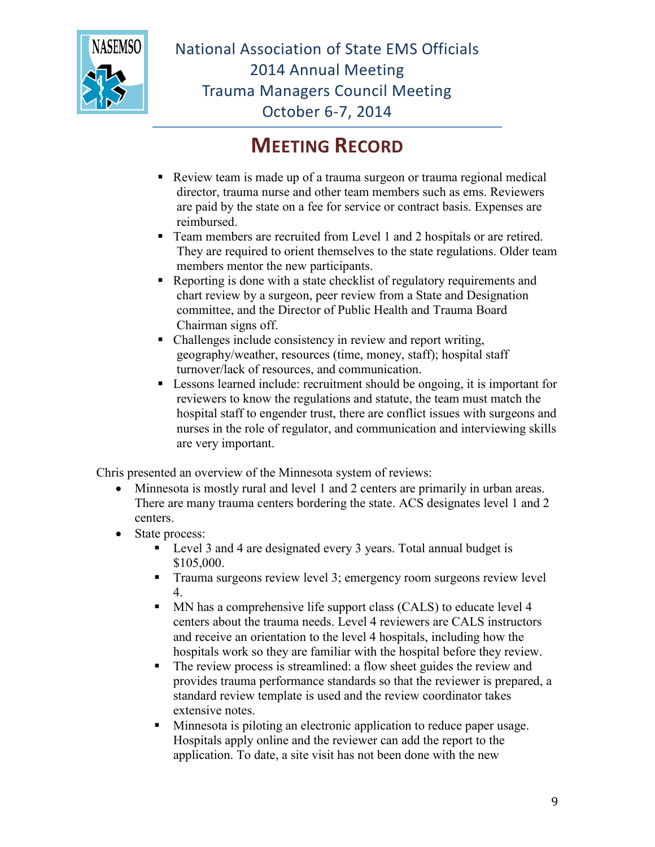

### **MEETING RECORD**

- Review team is made up of a trauma surgeon or trauma regional medical director, trauma nurse and other team members such as ems. Reviewers are paid by the state on a fee for service or contract basis. Expenses are reimbursed.
- Team members are recruited from Level 1 and 2 hospitals or are retired. They are required to orient themselves to the state regulations. Older team members mentor the new participants.
- Reporting is done with a state checklist of regulatory requirements and chart review by a surgeon, peer review from a State and Designation committee, and the Director of Public Health and Trauma Board Chairman signs off.
- Challenges include consistency in review and report writing, geography/weather, resources (time, money, staff); hospital staff turnover/lack of resources, and communication.
- Lessons learned include: recruitment should be ongoing, it is important for reviewers to know the regulations and statute, the team must match the hospital staff to engender trust, there are conflict issues with surgeons and nurses in the role of regulator, and communication and interviewing skills are very important.

Chris presented an overview of the Minnesota system of reviews:

- Minnesota is mostly rural and level 1 and 2 centers are primarily in urban areas. There are many trauma centers bordering the state. ACS designates level 1 and 2 centers.
- State process:
	- Level 3 and 4 are designated every 3 years. Total annual budget is \$105,000.
	- Trauma surgeons review level 3; emergency room surgeons review level 4.
	- MN has a comprehensive life support class (CALS) to educate level 4 centers about the trauma needs. Level 4 reviewers are CALS instructors and receive an orientation to the level 4 hospitals, including how the hospitals work so they are familiar with the hospital before they review.
	- The review process is streamlined: a flow sheet guides the review and provides trauma performance standards so that the reviewer is prepared, a standard review template is used and the review coordinator takes extensive notes.
	- Minnesota is piloting an electronic application to reduce paper usage. Hospitals apply online and the reviewer can add the report to the application. To date, a site visit has not been done with the new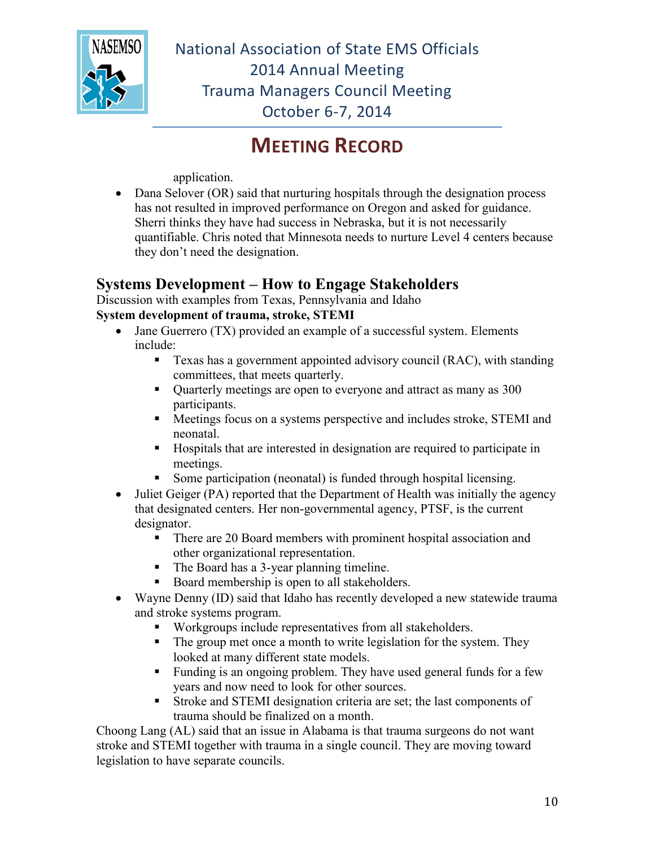

## **MEETING RECORD**

application.

• Dana Selover (OR) said that nurturing hospitals through the designation process has not resulted in improved performance on Oregon and asked for guidance. Sherri thinks they have had success in Nebraska, but it is not necessarily quantifiable. Chris noted that Minnesota needs to nurture Level 4 centers because they don't need the designation.

#### **Systems Development – How to Engage Stakeholders**

Discussion with examples from Texas, Pennsylvania and Idaho

#### **System development of trauma, stroke, STEMI**

- Jane Guerrero (TX) provided an example of a successful system. Elements include:
	- Texas has a government appointed advisory council (RAC), with standing committees, that meets quarterly.
	- Quarterly meetings are open to everyone and attract as many as 300 participants.
	- Meetings focus on a systems perspective and includes stroke, STEMI and neonatal.
	- Hospitals that are interested in designation are required to participate in meetings.
	- Some participation (neonatal) is funded through hospital licensing.
- Juliet Geiger (PA) reported that the Department of Health was initially the agency that designated centers. Her non-governmental agency, PTSF, is the current designator.
	- There are 20 Board members with prominent hospital association and other organizational representation.
	- The Board has a 3-year planning timeline.
	- Board membership is open to all stakeholders.
- Wayne Denny (ID) said that Idaho has recently developed a new statewide trauma and stroke systems program.
	- Workgroups include representatives from all stakeholders.
	- The group met once a month to write legislation for the system. They looked at many different state models.
	- Funding is an ongoing problem. They have used general funds for a few years and now need to look for other sources.
	- Stroke and STEMI designation criteria are set; the last components of trauma should be finalized on a month.

Choong Lang (AL) said that an issue in Alabama is that trauma surgeons do not want stroke and STEMI together with trauma in a single council. They are moving toward legislation to have separate councils.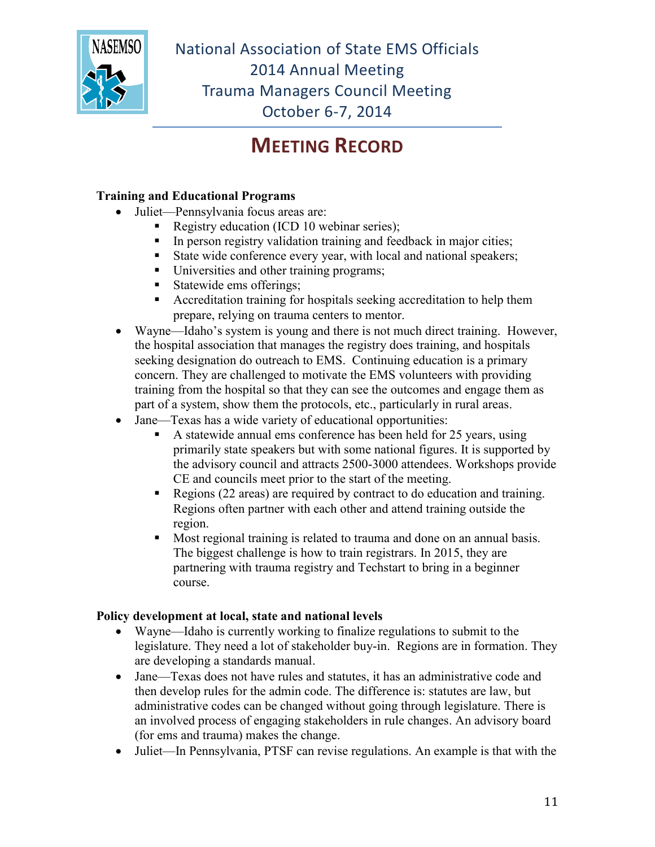

## **MEETING RECORD**

#### **Training and Educational Programs**

- Juliet—Pennsylvania focus areas are:
	- Registry education (ICD 10 webinar series);
	- $\blacksquare$  In person registry validation training and feedback in major cities;
	- State wide conference every year, with local and national speakers;
	- Universities and other training programs;
	- Statewide ems offerings;
	- Accreditation training for hospitals seeking accreditation to help them prepare, relying on trauma centers to mentor.
- Wayne—Idaho's system is young and there is not much direct training. However, the hospital association that manages the registry does training, and hospitals seeking designation do outreach to EMS. Continuing education is a primary concern. They are challenged to motivate the EMS volunteers with providing training from the hospital so that they can see the outcomes and engage them as part of a system, show them the protocols, etc., particularly in rural areas.
- Jane—Texas has a wide variety of educational opportunities:
	- A statewide annual ems conference has been held for 25 years, using primarily state speakers but with some national figures. It is supported by the advisory council and attracts 2500-3000 attendees. Workshops provide CE and councils meet prior to the start of the meeting.
	- Regions (22 areas) are required by contract to do education and training. Regions often partner with each other and attend training outside the region.
	- Most regional training is related to trauma and done on an annual basis. The biggest challenge is how to train registrars. In 2015, they are partnering with trauma registry and Techstart to bring in a beginner course.

#### **Policy development at local, state and national levels**

- Wayne—Idaho is currently working to finalize regulations to submit to the legislature. They need a lot of stakeholder buy-in. Regions are in formation. They are developing a standards manual.
- Jane—Texas does not have rules and statutes, it has an administrative code and then develop rules for the admin code. The difference is: statutes are law, but administrative codes can be changed without going through legislature. There is an involved process of engaging stakeholders in rule changes. An advisory board (for ems and trauma) makes the change.
- Juliet—In Pennsylvania, PTSF can revise regulations. An example is that with the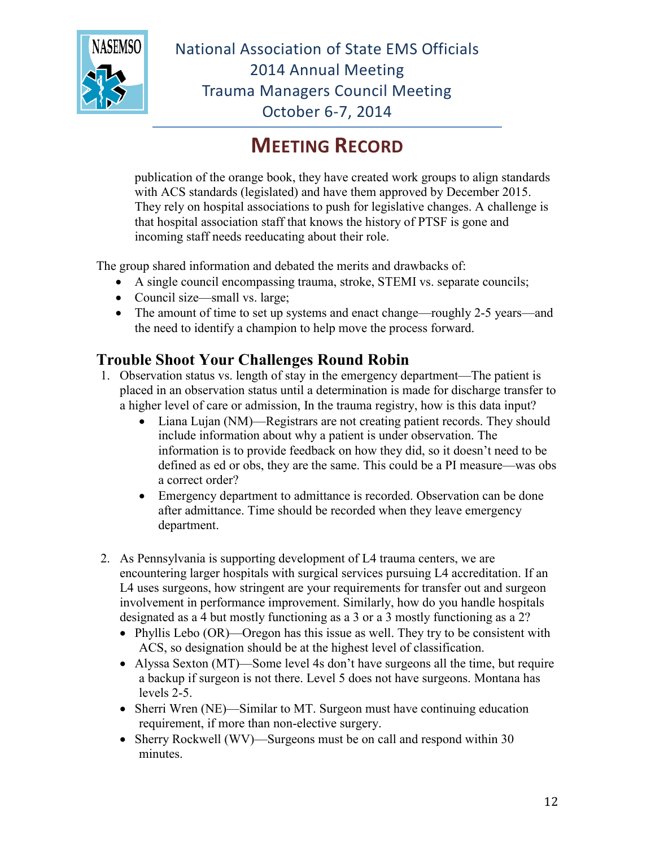

## **MEETING RECORD**

publication of the orange book, they have created work groups to align standards with ACS standards (legislated) and have them approved by December 2015. They rely on hospital associations to push for legislative changes. A challenge is that hospital association staff that knows the history of PTSF is gone and incoming staff needs reeducating about their role.

The group shared information and debated the merits and drawbacks of:

- A single council encompassing trauma, stroke, STEMI vs. separate councils;
- Council size—small vs. large;
- The amount of time to set up systems and enact change—roughly 2-5 years—and the need to identify a champion to help move the process forward.

#### **Trouble Shoot Your Challenges Round Robin**

- 1. Observation status vs. length of stay in the emergency department—The patient is placed in an observation status until a determination is made for discharge transfer to a higher level of care or admission, In the trauma registry, how is this data input?
	- Liana Lujan (NM)—Registrars are not creating patient records. They should include information about why a patient is under observation. The information is to provide feedback on how they did, so it doesn't need to be defined as ed or obs, they are the same. This could be a PI measure—was obs a correct order?
	- Emergency department to admittance is recorded. Observation can be done after admittance. Time should be recorded when they leave emergency department.
- 2. As Pennsylvania is supporting development of L4 trauma centers, we are encountering larger hospitals with surgical services pursuing L4 accreditation. If an L4 uses surgeons, how stringent are your requirements for transfer out and surgeon involvement in performance improvement. Similarly, how do you handle hospitals designated as a 4 but mostly functioning as a 3 or a 3 mostly functioning as a 2?
	- Phyllis Lebo (OR)—Oregon has this issue as well. They try to be consistent with ACS, so designation should be at the highest level of classification.
	- Alyssa Sexton (MT)—Some level 4s don't have surgeons all the time, but require a backup if surgeon is not there. Level 5 does not have surgeons. Montana has levels 2-5.
	- Sherri Wren (NE)—Similar to MT. Surgeon must have continuing education requirement, if more than non-elective surgery.
	- Sherry Rockwell (WV)—Surgeons must be on call and respond within 30 minutes.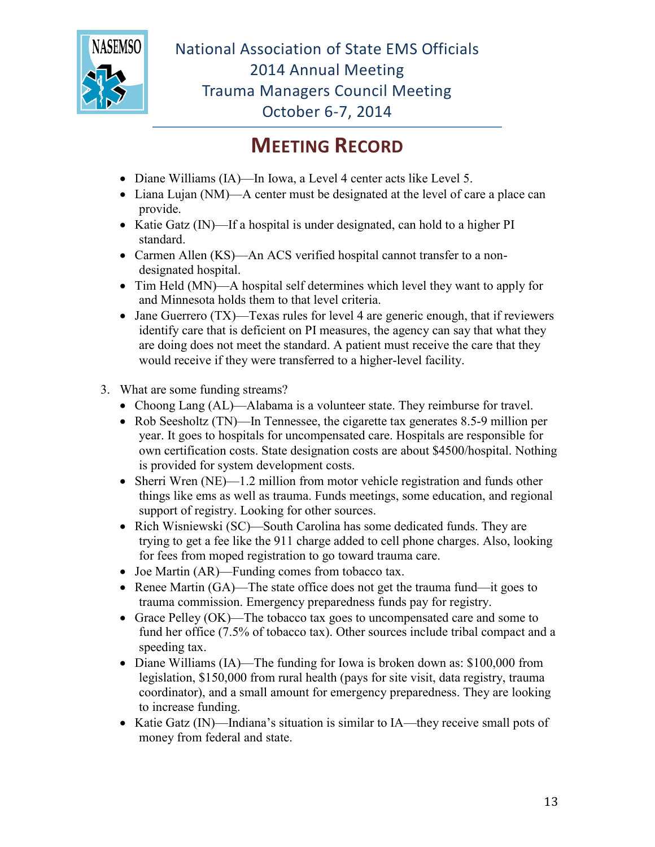

### **MEETING RECORD**

- Diane Williams (IA)—In Iowa, a Level 4 center acts like Level 5.
- Liana Lujan (NM)—A center must be designated at the level of care a place can provide.
- Katie Gatz (IN)—If a hospital is under designated, can hold to a higher PI standard.
- Carmen Allen (KS)—An ACS verified hospital cannot transfer to a nondesignated hospital.
- Tim Held (MN)—A hospital self determines which level they want to apply for and Minnesota holds them to that level criteria.
- Jane Guerrero  $(TX)$ —Texas rules for level 4 are generic enough, that if reviewers identify care that is deficient on PI measures, the agency can say that what they are doing does not meet the standard. A patient must receive the care that they would receive if they were transferred to a higher-level facility.
- 3. What are some funding streams?
	- Choong Lang (AL)—Alabama is a volunteer state. They reimburse for travel.
	- Rob Seesholtz (TN)—In Tennessee, the cigarette tax generates 8.5-9 million per year. It goes to hospitals for uncompensated care. Hospitals are responsible for own certification costs. State designation costs are about \$4500/hospital. Nothing is provided for system development costs.
	- Sherri Wren (NE)—1.2 million from motor vehicle registration and funds other things like ems as well as trauma. Funds meetings, some education, and regional support of registry. Looking for other sources.
	- Rich Wisniewski (SC)—South Carolina has some dedicated funds. They are trying to get a fee like the 911 charge added to cell phone charges. Also, looking for fees from moped registration to go toward trauma care.
	- Joe Martin (AR)—Funding comes from tobacco tax.
	- Renee Martin (GA)—The state office does not get the trauma fund—it goes to trauma commission. Emergency preparedness funds pay for registry.
	- Grace Pelley (OK)—The tobacco tax goes to uncompensated care and some to fund her office (7.5% of tobacco tax). Other sources include tribal compact and a speeding tax.
	- Diane Williams (IA)—The funding for Iowa is broken down as: \$100,000 from legislation, \$150,000 from rural health (pays for site visit, data registry, trauma coordinator), and a small amount for emergency preparedness. They are looking to increase funding.
	- Katie Gatz (IN)—Indiana's situation is similar to IA—they receive small pots of money from federal and state.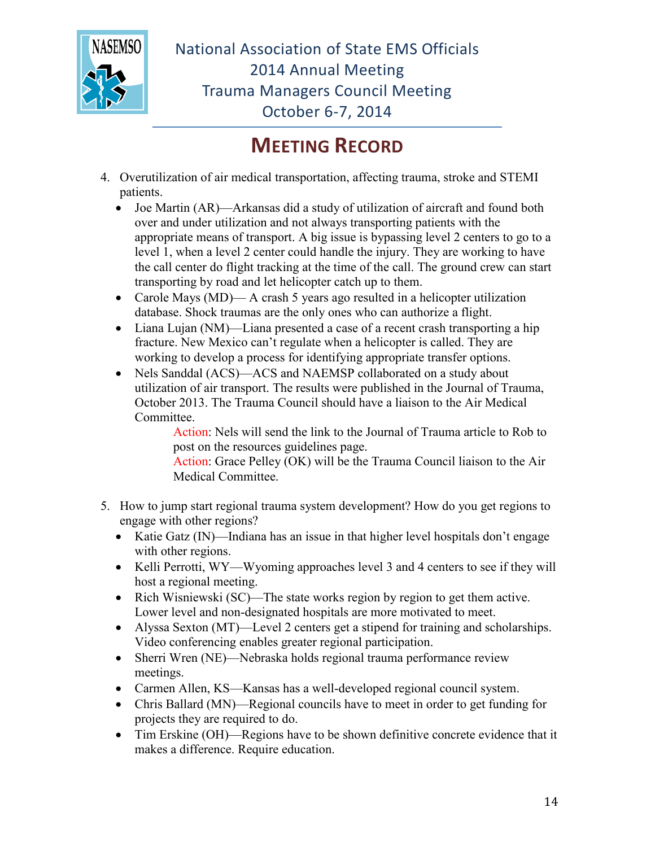

## **MEETING RECORD**

- 4. Overutilization of air medical transportation, affecting trauma, stroke and STEMI patients.
	- Joe Martin (AR)—Arkansas did a study of utilization of aircraft and found both over and under utilization and not always transporting patients with the appropriate means of transport. A big issue is bypassing level 2 centers to go to a level 1, when a level 2 center could handle the injury. They are working to have the call center do flight tracking at the time of the call. The ground crew can start transporting by road and let helicopter catch up to them.
	- Carole Mays (MD)— A crash 5 years ago resulted in a helicopter utilization database. Shock traumas are the only ones who can authorize a flight.
	- Liana Lujan (NM)—Liana presented a case of a recent crash transporting a hip fracture. New Mexico can't regulate when a helicopter is called. They are working to develop a process for identifying appropriate transfer options.
	- Nels Sanddal (ACS)—ACS and NAEMSP collaborated on a study about utilization of air transport. The results were published in the Journal of Trauma, October 2013. The Trauma Council should have a liaison to the Air Medical Committee.

Action: Nels will send the link to the Journal of Trauma article to Rob to post on the resources guidelines page.

Action: Grace Pelley (OK) will be the Trauma Council liaison to the Air Medical Committee.

- 5. How to jump start regional trauma system development? How do you get regions to engage with other regions?
	- Katie Gatz (IN)—Indiana has an issue in that higher level hospitals don't engage with other regions.
	- Kelli Perrotti, WY—Wyoming approaches level 3 and 4 centers to see if they will host a regional meeting.
	- Rich Wisniewski (SC)—The state works region by region to get them active. Lower level and non-designated hospitals are more motivated to meet.
	- Alyssa Sexton (MT)—Level 2 centers get a stipend for training and scholarships. Video conferencing enables greater regional participation.
	- Sherri Wren (NE)—Nebraska holds regional trauma performance review meetings.
	- Carmen Allen, KS—Kansas has a well-developed regional council system.
	- Chris Ballard (MN)—Regional councils have to meet in order to get funding for projects they are required to do.
	- Tim Erskine (OH)—Regions have to be shown definitive concrete evidence that it makes a difference. Require education.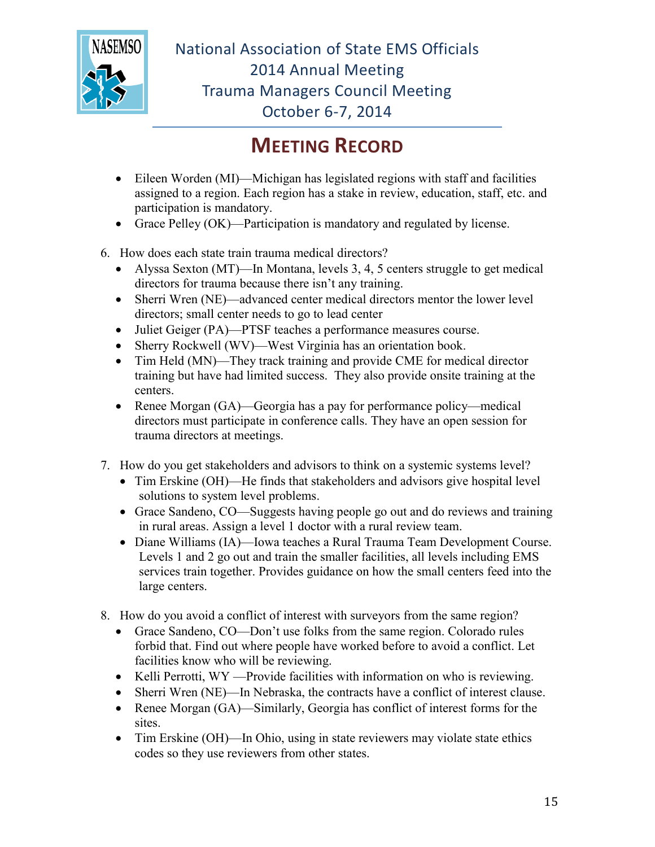

## **MEETING RECORD**

- Eileen Worden (MI)—Michigan has legislated regions with staff and facilities assigned to a region. Each region has a stake in review, education, staff, etc. and participation is mandatory.
- Grace Pelley (OK)—Participation is mandatory and regulated by license.
- 6. How does each state train trauma medical directors?
	- Alyssa Sexton (MT)—In Montana, levels 3, 4, 5 centers struggle to get medical directors for trauma because there isn't any training.
	- Sherri Wren (NE)—advanced center medical directors mentor the lower level directors; small center needs to go to lead center
	- Juliet Geiger (PA)—PTSF teaches a performance measures course.
	- Sherry Rockwell (WV)—West Virginia has an orientation book.
	- Tim Held (MN)—They track training and provide CME for medical director training but have had limited success. They also provide onsite training at the centers.
	- Renee Morgan (GA)—Georgia has a pay for performance policy—medical directors must participate in conference calls. They have an open session for trauma directors at meetings.
- 7. How do you get stakeholders and advisors to think on a systemic systems level?
	- Tim Erskine (OH)—He finds that stakeholders and advisors give hospital level solutions to system level problems.
	- Grace Sandeno, CO—Suggests having people go out and do reviews and training in rural areas. Assign a level 1 doctor with a rural review team.
	- Diane Williams (IA)—Iowa teaches a Rural Trauma Team Development Course. Levels 1 and 2 go out and train the smaller facilities, all levels including EMS services train together. Provides guidance on how the small centers feed into the large centers.
- 8. How do you avoid a conflict of interest with surveyors from the same region?
	- Grace Sandeno, CO—Don't use folks from the same region. Colorado rules forbid that. Find out where people have worked before to avoid a conflict. Let facilities know who will be reviewing.
	- Kelli Perrotti, WY —Provide facilities with information on who is reviewing.
	- Sherri Wren (NE)—In Nebraska, the contracts have a conflict of interest clause.
	- Renee Morgan (GA)—Similarly, Georgia has conflict of interest forms for the sites.
	- Tim Erskine (OH)—In Ohio, using in state reviewers may violate state ethics codes so they use reviewers from other states.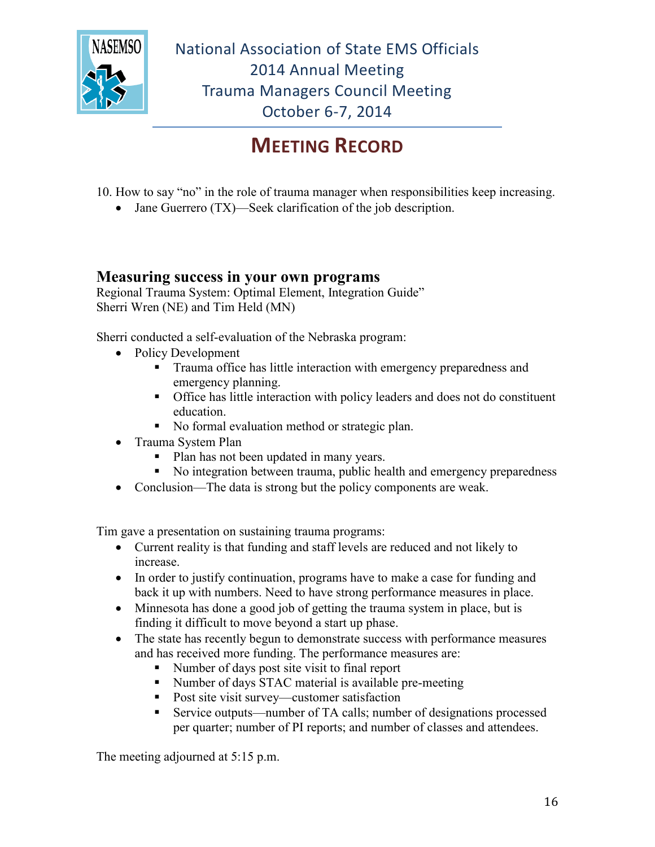

## **MEETING RECORD**

- 10. How to say "no" in the role of trauma manager when responsibilities keep increasing.
	- Jane Guerrero (TX)—Seek clarification of the job description.

#### **Measuring success in your own programs**

Regional Trauma System: Optimal Element, Integration Guide" Sherri Wren (NE) and Tim Held (MN)

Sherri conducted a self-evaluation of the Nebraska program:

- Policy Development
	- **Trauma office has little interaction with emergency preparedness and** emergency planning.
	- Office has little interaction with policy leaders and does not do constituent education.
	- No formal evaluation method or strategic plan.
- Trauma System Plan
	- Plan has not been updated in many years.
	- No integration between trauma, public health and emergency preparedness
- Conclusion—The data is strong but the policy components are weak.

Tim gave a presentation on sustaining trauma programs:

- Current reality is that funding and staff levels are reduced and not likely to increase.
- In order to justify continuation, programs have to make a case for funding and back it up with numbers. Need to have strong performance measures in place.
- Minnesota has done a good job of getting the trauma system in place, but is finding it difficult to move beyond a start up phase.
- The state has recently begun to demonstrate success with performance measures and has received more funding. The performance measures are:
	- Number of days post site visit to final report
	- Number of days STAC material is available pre-meeting
	- Post site visit survey—customer satisfaction
	- Service outputs—number of TA calls; number of designations processed per quarter; number of PI reports; and number of classes and attendees.

The meeting adjourned at 5:15 p.m.